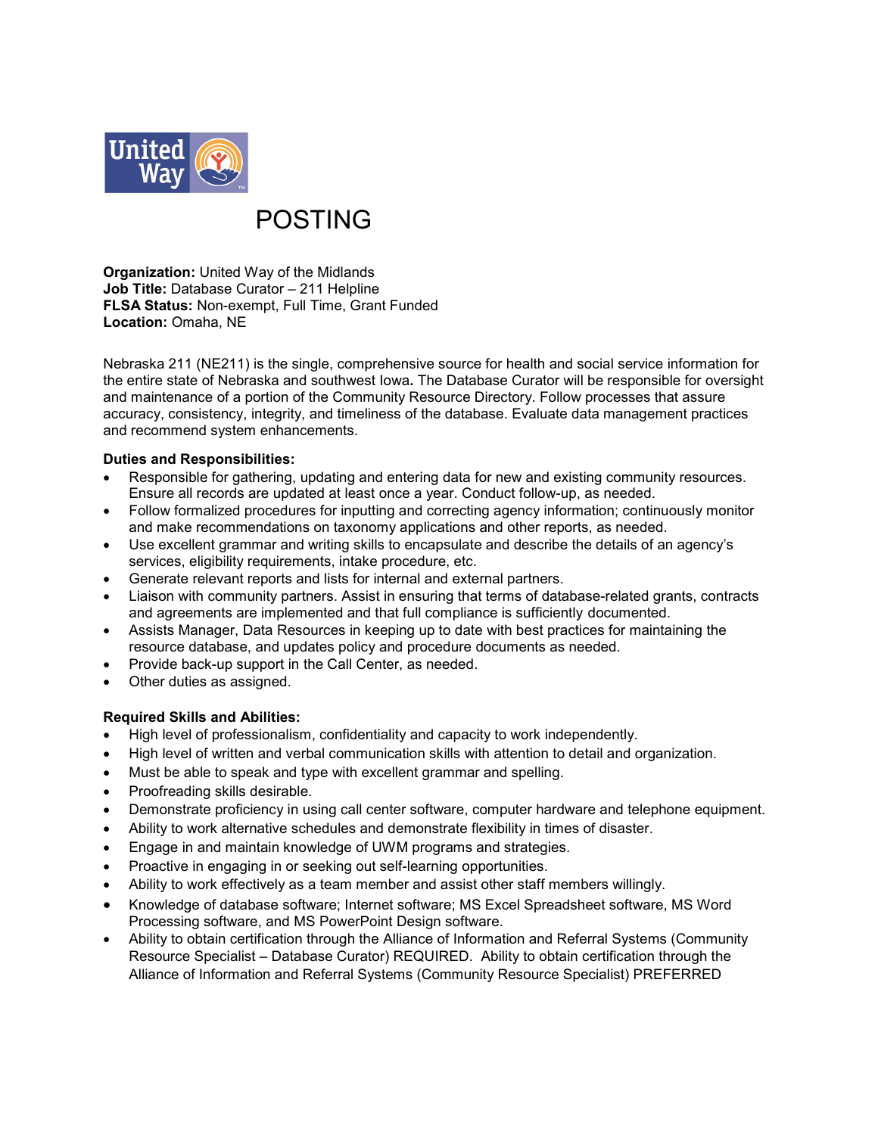

# POSTING

**Organization:** United Way of the Midlands **Job Title:** Database Curator – 211 Helpline **FLSA Status:** Non-exempt, Full Time, Grant Funded **Location:** Omaha, NE

Nebraska 211 (NE211) is the single, comprehensive source for health and social service information for the entire state of Nebraska and southwest Iowa**.** The Database Curator will be responsible for oversight and maintenance of a portion of the Community Resource Directory. Follow processes that assure accuracy, consistency, integrity, and timeliness of the database. Evaluate data management practices and recommend system enhancements.

## **Duties and Responsibilities:**

- Responsible for gathering, updating and entering data for new and existing community resources. Ensure all records are updated at least once a year. Conduct follow-up, as needed.
- Follow formalized procedures for inputting and correcting agency information; continuously monitor and make recommendations on taxonomy applications and other reports, as needed.
- Use excellent grammar and writing skills to encapsulate and describe the details of an agency's services, eligibility requirements, intake procedure, etc.
- Generate relevant reports and lists for internal and external partners.
- Liaison with community partners. Assist in ensuring that terms of database-related grants, contracts and agreements are implemented and that full compliance is sufficiently documented.
- Assists Manager, Data Resources in keeping up to date with best practices for maintaining the resource database, and updates policy and procedure documents as needed.
- Provide back-up support in the Call Center, as needed.
- Other duties as assigned.

# **Required Skills and Abilities:**

- High level of professionalism, confidentiality and capacity to work independently.
- High level of written and verbal communication skills with attention to detail and organization.
- Must be able to speak and type with excellent grammar and spelling.
- Proofreading skills desirable.
- Demonstrate proficiency in using call center software, computer hardware and telephone equipment.
- Ability to work alternative schedules and demonstrate flexibility in times of disaster.
- Engage in and maintain knowledge of UWM programs and strategies.
- Proactive in engaging in or seeking out self-learning opportunities.
- Ability to work effectively as a team member and assist other staff members willingly.
- Knowledge of database software; Internet software; MS Excel Spreadsheet software, MS Word Processing software, and MS PowerPoint Design software.
- Ability to obtain certification through the Alliance of Information and Referral Systems (Community Resource Specialist – Database Curator) REQUIRED. Ability to obtain certification through the Alliance of Information and Referral Systems (Community Resource Specialist) PREFERRED